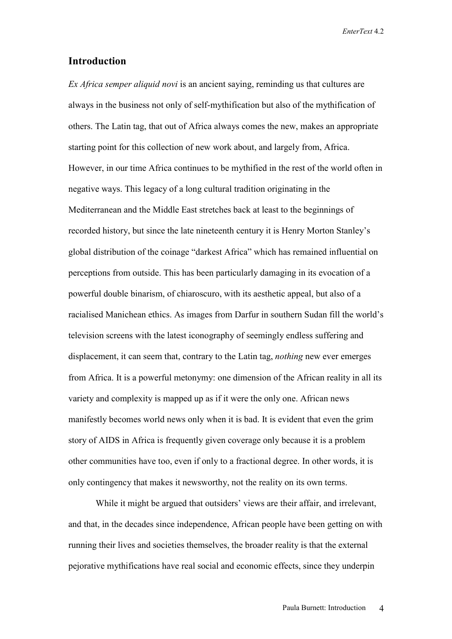## **Introduction**

*Ex Africa semper aliquid novi* is an ancient saying, reminding us that cultures are always in the business not only of self-mythification but also of the mythification of others. The Latin tag, that out of Africa always comes the new, makes an appropriate starting point for this collection of new work about, and largely from, Africa. However, in our time Africa continues to be mythified in the rest of the world often in negative ways. This legacy of a long cultural tradition originating in the Mediterranean and the Middle East stretches back at least to the beginnings of recorded history, but since the late nineteenth century it is Henry Morton Stanley's global distribution of the coinage "darkest Africa" which has remained influential on perceptions from outside. This has been particularly damaging in its evocation of a powerful double binarism, of chiaroscuro, with its aesthetic appeal, but also of a racialised Manichean ethics. As images from Darfur in southern Sudan fill the world's television screens with the latest iconography of seemingly endless suffering and displacement, it can seem that, contrary to the Latin tag, *nothing* new ever emerges from Africa. It is a powerful metonymy: one dimension of the African reality in all its variety and complexity is mapped up as if it were the only one. African news manifestly becomes world news only when it is bad. It is evident that even the grim story of AIDS in Africa is frequently given coverage only because it is a problem other communities have too, even if only to a fractional degree. In other words, it is only contingency that makes it newsworthy, not the reality on its own terms.

While it might be argued that outsiders' views are their affair, and irrelevant, and that, in the decades since independence, African people have been getting on with running their lives and societies themselves, the broader reality is that the external pejorative mythifications have real social and economic effects, since they underpin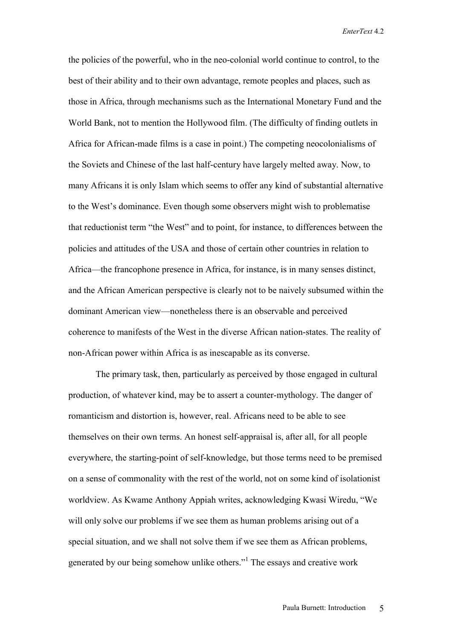the policies of the powerful, who in the neo-colonial world continue to control, to the best of their ability and to their own advantage, remote peoples and places, such as those in Africa, through mechanisms such as the International Monetary Fund and the World Bank, not to mention the Hollywood film. (The difficulty of finding outlets in Africa for African-made films is a case in point.) The competing neocolonialisms of the Soviets and Chinese of the last half-century have largely melted away. Now, to many Africans it is only Islam which seems to offer any kind of substantial alternative to the West's dominance. Even though some observers might wish to problematise that reductionist term "the West" and to point, for instance, to differences between the policies and attitudes of the USA and those of certain other countries in relation to Africa—the francophone presence in Africa, for instance, is in many senses distinct, and the African American perspective is clearly not to be naively subsumed within the dominant American view—nonetheless there is an observable and perceived coherence to manifests of the West in the diverse African nation-states. The reality of non-African power within Africa is as inescapable as its converse.

The primary task, then, particularly as perceived by those engaged in cultural production, of whatever kind, may be to assert a counter-mythology. The danger of romanticism and distortion is, however, real. Africans need to be able to see themselves on their own terms. An honest self-appraisal is, after all, for all people everywhere, the starting-point of self-knowledge, but those terms need to be premised on a sense of commonality with the rest of the world, not on some kind of isolationist worldview. As Kwame Anthony Appiah writes, acknowledging Kwasi Wiredu, "We will only solve our problems if we see them as human problems arising out of a special situation, and we shall not solve them if we see them as African problems, generated by our being somehow unlike others."<sup>1</sup> The essays and creative work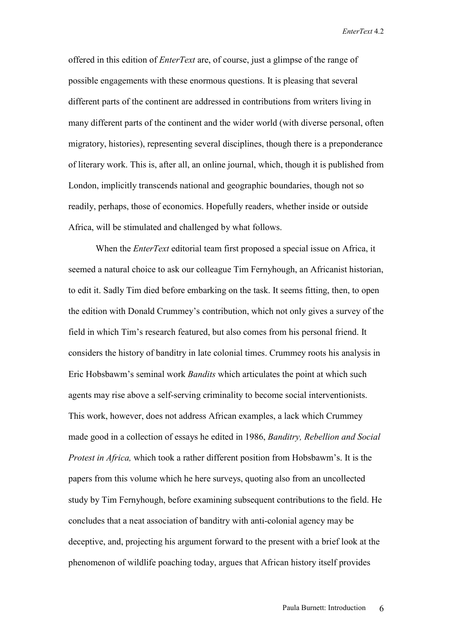offered in this edition of *EnterText* are, of course, just a glimpse of the range of possible engagements with these enormous questions. It is pleasing that several different parts of the continent are addressed in contributions from writers living in many different parts of the continent and the wider world (with diverse personal, often migratory, histories), representing several disciplines, though there is a preponderance of literary work. This is, after all, an online journal, which, though it is published from London, implicitly transcends national and geographic boundaries, though not so readily, perhaps, those of economics. Hopefully readers, whether inside or outside Africa, will be stimulated and challenged by what follows.

When the *EnterText* editorial team first proposed a special issue on Africa, it seemed a natural choice to ask our colleague Tim Fernyhough, an Africanist historian, to edit it. Sadly Tim died before embarking on the task. It seems fitting, then, to open the edition with Donald Crummey's contribution, which not only gives a survey of the field in which Tim's research featured, but also comes from his personal friend. It considers the history of banditry in late colonial times. Crummey roots his analysis in Eric Hobsbawm's seminal work *Bandits* which articulates the point at which such agents may rise above a self-serving criminality to become social interventionists. This work, however, does not address African examples, a lack which Crummey made good in a collection of essays he edited in 1986, *Banditry, Rebellion and Social Protest in Africa,* which took a rather different position from Hobsbawm's. It is the papers from this volume which he here surveys, quoting also from an uncollected study by Tim Fernyhough, before examining subsequent contributions to the field. He concludes that a neat association of banditry with anti-colonial agency may be deceptive, and, projecting his argument forward to the present with a brief look at the phenomenon of wildlife poaching today, argues that African history itself provides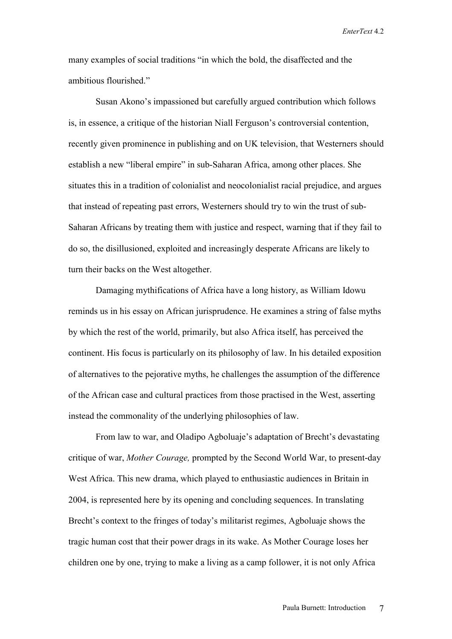many examples of social traditions "in which the bold, the disaffected and the ambitious flourished."

Susan Akono's impassioned but carefully argued contribution which follows is, in essence, a critique of the historian Niall Ferguson's controversial contention, recently given prominence in publishing and on UK television, that Westerners should establish a new "liberal empire" in sub-Saharan Africa, among other places. She situates this in a tradition of colonialist and neocolonialist racial prejudice, and argues that instead of repeating past errors, Westerners should try to win the trust of sub-Saharan Africans by treating them with justice and respect, warning that if they fail to do so, the disillusioned, exploited and increasingly desperate Africans are likely to turn their backs on the West altogether.

Damaging mythifications of Africa have a long history, as William Idowu reminds us in his essay on African jurisprudence. He examines a string of false myths by which the rest of the world, primarily, but also Africa itself, has perceived the continent. His focus is particularly on its philosophy of law. In his detailed exposition of alternatives to the pejorative myths, he challenges the assumption of the difference of the African case and cultural practices from those practised in the West, asserting instead the commonality of the underlying philosophies of law.

From law to war, and Oladipo Agboluaje's adaptation of Brecht's devastating critique of war, *Mother Courage,* prompted by the Second World War, to present-day West Africa. This new drama, which played to enthusiastic audiences in Britain in 2004, is represented here by its opening and concluding sequences. In translating Brecht's context to the fringes of today's militarist regimes, Agboluaje shows the tragic human cost that their power drags in its wake. As Mother Courage loses her children one by one, trying to make a living as a camp follower, it is not only Africa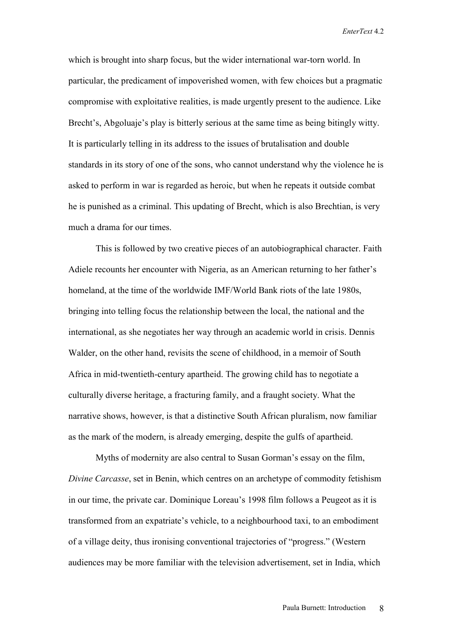which is brought into sharp focus, but the wider international war-torn world. In particular, the predicament of impoverished women, with few choices but a pragmatic compromise with exploitative realities, is made urgently present to the audience. Like Brecht's, Abgoluaje's play is bitterly serious at the same time as being bitingly witty. It is particularly telling in its address to the issues of brutalisation and double standards in its story of one of the sons, who cannot understand why the violence he is asked to perform in war is regarded as heroic, but when he repeats it outside combat he is punished as a criminal. This updating of Brecht, which is also Brechtian, is very much a drama for our times.

This is followed by two creative pieces of an autobiographical character. Faith Adiele recounts her encounter with Nigeria, as an American returning to her father's homeland, at the time of the worldwide IMF/World Bank riots of the late 1980s, bringing into telling focus the relationship between the local, the national and the international, as she negotiates her way through an academic world in crisis. Dennis Walder, on the other hand, revisits the scene of childhood, in a memoir of South Africa in mid-twentieth-century apartheid. The growing child has to negotiate a culturally diverse heritage, a fracturing family, and a fraught society. What the narrative shows, however, is that a distinctive South African pluralism, now familiar as the mark of the modern, is already emerging, despite the gulfs of apartheid.

Myths of modernity are also central to Susan Gorman's essay on the film, *Divine Carcasse*, set in Benin, which centres on an archetype of commodity fetishism in our time, the private car. Dominique Loreau's 1998 film follows a Peugeot as it is transformed from an expatriate's vehicle, to a neighbourhood taxi, to an embodiment of a village deity, thus ironising conventional trajectories of "progress." (Western audiences may be more familiar with the television advertisement, set in India, which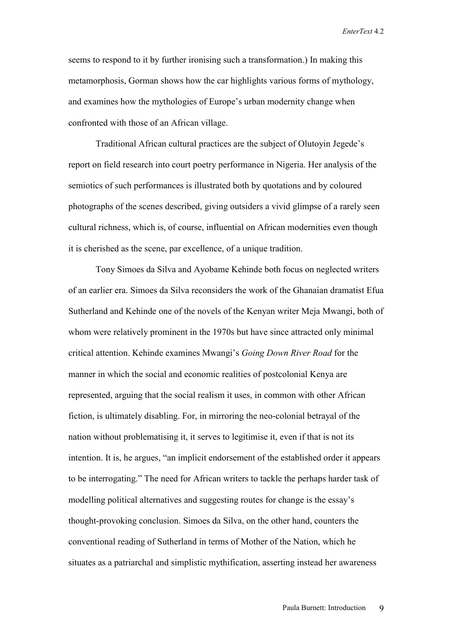seems to respond to it by further ironising such a transformation.) In making this metamorphosis, Gorman shows how the car highlights various forms of mythology, and examines how the mythologies of Europe's urban modernity change when confronted with those of an African village.

 Traditional African cultural practices are the subject of Olutoyin Jegede's report on field research into court poetry performance in Nigeria. Her analysis of the semiotics of such performances is illustrated both by quotations and by coloured photographs of the scenes described, giving outsiders a vivid glimpse of a rarely seen cultural richness, which is, of course, influential on African modernities even though it is cherished as the scene, par excellence, of a unique tradition.

Tony Simoes da Silva and Ayobame Kehinde both focus on neglected writers of an earlier era. Simoes da Silva reconsiders the work of the Ghanaian dramatist Efua Sutherland and Kehinde one of the novels of the Kenyan writer Meja Mwangi, both of whom were relatively prominent in the 1970s but have since attracted only minimal critical attention. Kehinde examines Mwangi's *Going Down River Road* for the manner in which the social and economic realities of postcolonial Kenya are represented, arguing that the social realism it uses, in common with other African fiction, is ultimately disabling. For, in mirroring the neo-colonial betrayal of the nation without problematising it, it serves to legitimise it, even if that is not its intention. It is, he argues, "an implicit endorsement of the established order it appears to be interrogating." The need for African writers to tackle the perhaps harder task of modelling political alternatives and suggesting routes for change is the essay's thought-provoking conclusion. Simoes da Silva, on the other hand, counters the conventional reading of Sutherland in terms of Mother of the Nation, which he situates as a patriarchal and simplistic mythification, asserting instead her awareness